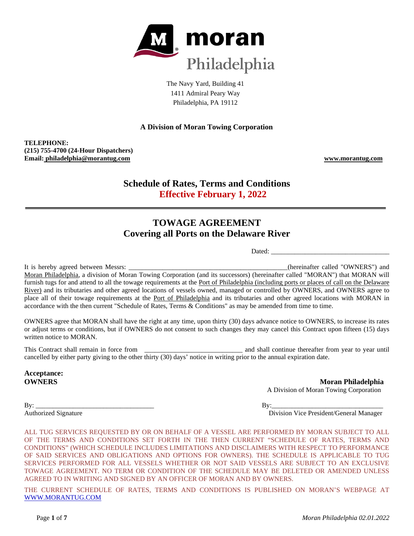

The Navy Yard, Building 41 1411 Admiral Peary Way Philadelphia, PA 19112

## **A Division of Moran Towing Corporation**

**TELEPHONE: (215) 755-4700 (24-Hour Dispatchers) Email: philadelphia@morantug.com www.morantug.com**

## **Schedule of Rates, Terms and Conditions Effective February 1, 2022**

# **TOWAGE AGREEMENT Covering all Ports on the Delaware River**

Dated: \_\_\_\_\_\_\_\_\_\_\_\_\_\_\_\_\_\_\_\_\_\_\_\_\_\_\_\_\_\_\_\_\_\_\_

It is hereby agreed between Messrs: \_\_\_\_\_\_\_\_\_\_\_\_\_\_\_\_\_\_\_\_\_\_\_\_\_\_\_\_\_\_\_\_\_\_\_\_\_\_\_\_\_\_\_\_\_\_\_(hereinafter called "OWNERS") and Moran Philadelphia, a division of Moran Towing Corporation (and its successors) (hereinafter called "MORAN") that MORAN will furnish tugs for and attend to all the towage requirements at the Port of Philadelphia (including ports or places of call on the Delaware River) and its tributaries and other agreed locations of vessels owned, managed or controlled by OWNERS, and OWNERS agree to place all of their towage requirements at the Port of Philadelphia and its tributaries and other agreed locations with MORAN in accordance with the then current "Schedule of Rates, Terms & Conditions" as may be amended from time to time.

OWNERS agree that MORAN shall have the right at any time, upon thirty (30) days advance notice to OWNERS, to increase its rates or adjust terms or conditions, but if OWNERS do not consent to such changes they may cancel this Contract upon fifteen (15) days written notice to MORAN.

This Contract shall remain in force from \_\_\_\_\_\_\_\_\_\_\_\_\_\_\_\_\_\_\_\_\_\_\_\_\_\_\_\_\_ and shall continue thereafter from year to year until cancelled by either party giving to the other thirty (30) days' notice in writing prior to the annual expiration date.

**Acceptance:**

**OWNERS** Moran Philadelphia A Division of Moran Towing Corporation

By: \_\_\_\_\_\_\_\_\_\_\_\_\_\_\_\_\_\_\_\_\_\_\_\_\_\_\_\_\_\_\_\_\_\_\_ By:\_\_\_\_\_\_\_\_\_\_\_\_\_\_\_\_\_\_\_\_\_\_\_\_\_\_\_\_\_\_\_\_\_

Authorized Signature Division Vice President/General Manager

ALL TUG SERVICES REQUESTED BY OR ON BEHALF OF A VESSEL ARE PERFORMED BY MORAN SUBJECT TO ALL OF THE TERMS AND CONDITIONS SET FORTH IN THE THEN CURRENT "SCHEDULE OF RATES, TERMS AND CONDITIONS" (WHICH SCHEDULE INCLUDES LIMITATIONS AND DISCLAIMERS WITH RESPECT TO PERFORMANCE OF SAID SERVICES AND OBLIGATIONS AND OPTIONS FOR OWNERS). THE SCHEDULE IS APPLICABLE TO TUG SERVICES PERFORMED FOR ALL VESSELS WHETHER OR NOT SAID VESSELS ARE SUBJECT TO AN EXCLUSIVE TOWAGE AGREEMENT. NO TERM OR CONDITION OF THE SCHEDULE MAY BE DELETED OR AMENDED UNLESS AGREED TO IN WRITING AND SIGNED BY AN OFFICER OF MORAN AND BY OWNERS.

THE CURRENT SCHEDULE OF RATES, TERMS AND CONDITIONS IS PUBLISHED ON MORAN'S WEBPAGE AT WWW.MORANTUG.COM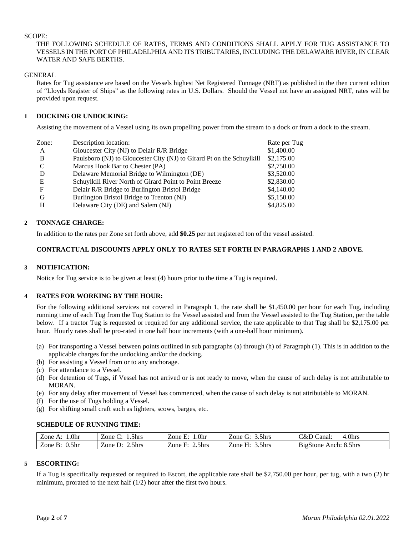#### SCOPE:

#### THE FOLLOWING SCHEDULE OF RATES, TERMS AND CONDITIONS SHALL APPLY FOR TUG ASSISTANCE TO VESSELS IN THE PORT OF PHILADELPHIA AND ITS TRIBUTARIES, INCLUDING THE DELAWARE RIVER, IN CLEAR WATER AND SAFE BERTHS.

#### GENERAL

Rates for Tug assistance are based on the Vessels highest Net Registered Tonnage (NRT) as published in the then current edition of "Lloyds Register of Ships" as the following rates in U.S. Dollars. Should the Vessel not have an assigned NRT, rates will be provided upon request.

## **1 DOCKING OR UNDOCKING:**

Assisting the movement of a Vessel using its own propelling power from the stream to a dock or from a dock to the stream.

| Zone:         | Description location:                                                 | Rate per Tug |
|---------------|-----------------------------------------------------------------------|--------------|
| A             | Gloucester City (NJ) to Delair R/R Bridge                             | \$1,400.00   |
| B             | Paulsboro (NJ) to Gloucester City (NJ) to Girard Pt on the Schuylkill | \$2,175.00   |
| $\mathcal{C}$ | Marcus Hook Bar to Chester (PA)                                       | \$2,750.00   |
|               | Delaware Memorial Bridge to Wilmington (DE)                           | \$3,520.00   |
| E             | Schuylkill River North of Girard Point to Point Breeze                | \$2,830.00   |
| F             | Delair R/R Bridge to Burlington Bristol Bridge                        | \$4,140.00   |
| G             | Burlington Bristol Bridge to Trenton (NJ)                             | \$5,150.00   |
| H             | Delaware City (DE) and Salem (NJ)                                     | \$4,825.00   |
|               |                                                                       |              |

## **2 TONNAGE CHARGE:**

In addition to the rates per Zone set forth above, add **\$0.25** per net registered ton of the vessel assisted.

## **CONTRACTUAL DISCOUNTS APPLY ONLY TO RATES SET FORTH IN PARAGRAPHS 1 AND 2 ABOVE**.

## **3 NOTIFICATION:**

Notice for Tug service is to be given at least (4) hours prior to the time a Tug is required.

## **4 RATES FOR WORKING BY THE HOUR:**

For the following additional services not covered in Paragraph 1, the rate shall be \$1,450.00 per hour for each Tug, including running time of each Tug from the Tug Station to the Vessel assisted and from the Vessel assisted to the Tug Station, per the table below. If a tractor Tug is requested or required for any additional service, the rate applicable to that Tug shall be \$2,175.00 per hour. Hourly rates shall be pro-rated in one half hour increments (with a one-half hour minimum).

- (a) For transporting a Vessel between points outlined in sub paragraphs (a) through (h) of Paragraph (1). This is in addition to the applicable charges for the undocking and/or the docking.
- (b) For assisting a Vessel from or to any anchorage.
- (c) For attendance to a Vessel.
- (d) For detention of Tugs, if Vessel has not arrived or is not ready to move, when the cause of such delay is not attributable to MORAN.
- (e) For any delay after movement of Vessel has commenced, when the cause of such delay is not attributable to MORAN.
- (f) For the use of Tugs holding a Vessel.
- (g) For shifting small craft such as lighters, scows, barges, etc.

## **SCHEDULE OF RUNNING TIME:**

| .0hr<br>Zone              | .5hrs<br>∠one ′            | .0hr<br>Zone E:                 | 3.5hrs<br>Zone | l.0hrs<br>∵&L<br>Canal:            |
|---------------------------|----------------------------|---------------------------------|----------------|------------------------------------|
| 0.5 <sub>hr</sub><br>Zone | 2.5hrs<br>Zone<br>$\cdots$ | 2.5 <sub>hrs</sub><br>∠one<br>⊷ | 3.5hrs<br>Zone | <b>BigStone</b><br>8.5hrs<br>Anch: |

## **5 ESCORTING:**

If a Tug is specifically requested or required to Escort, the applicable rate shall be \$2,750.00 per hour, per tug, with a two (2) hr minimum, prorated to the next half (1/2) hour after the first two hours.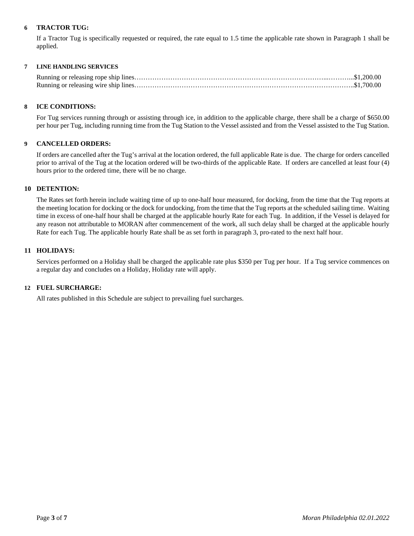## **6 TRACTOR TUG:**

If a Tractor Tug is specifically requested or required, the rate equal to 1.5 time the applicable rate shown in Paragraph 1 shall be applied.

## **7 LINE HANDLING SERVICES**

#### **8 ICE CONDITIONS:**

For Tug services running through or assisting through ice, in addition to the applicable charge, there shall be a charge of \$650.00 per hour per Tug, including running time from the Tug Station to the Vessel assisted and from the Vessel assisted to the Tug Station.

#### **9 CANCELLED ORDERS:**

If orders are cancelled after the Tug's arrival at the location ordered, the full applicable Rate is due. The charge for orders cancelled prior to arrival of the Tug at the location ordered will be two-thirds of the applicable Rate. If orders are cancelled at least four (4) hours prior to the ordered time, there will be no charge.

#### **10 DETENTION:**

The Rates set forth herein include waiting time of up to one-half hour measured, for docking, from the time that the Tug reports at the meeting location for docking or the dock for undocking, from the time that the Tug reports at the scheduled sailing time. Waiting time in excess of one-half hour shall be charged at the applicable hourly Rate for each Tug. In addition, if the Vessel is delayed for any reason not attributable to MORAN after commencement of the work, all such delay shall be charged at the applicable hourly Rate for each Tug. The applicable hourly Rate shall be as set forth in paragraph 3, pro-rated to the next half hour.

#### **11 HOLIDAYS:**

Services performed on a Holiday shall be charged the applicable rate plus \$350 per Tug per hour. If a Tug service commences on a regular day and concludes on a Holiday, Holiday rate will apply.

#### **12 FUEL SURCHARGE:**

All rates published in this Schedule are subject to prevailing fuel surcharges.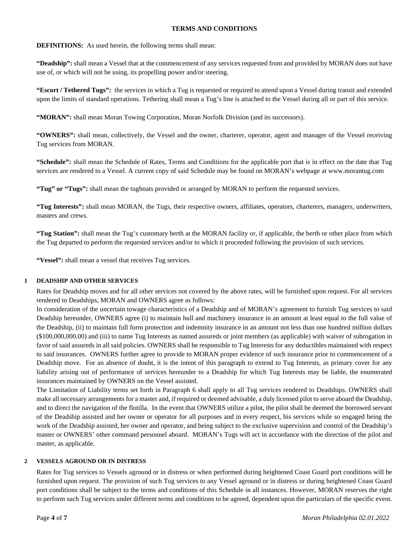#### **TERMS AND CONDITIONS**

## **DEFINITIONS:** As used herein, the following terms shall mean:

**"Deadship":** shall mean a Vessel that at the commencement of any services requested from and provided by MORAN does not have use of, or which will not be using, its propelling power and/or steering.

**"Escort / Tethered Tugs":** the services in which a Tug is requested or required to attend upon a Vessel during transit and extended upon the limits of standard operations. Tethering shall mean a Tug's line is attached to the Vessel during all or part of this service.

**"MORAN":** shall mean Moran Towing Corporation, Moran Norfolk Division (and its successors).

**"OWNERS":** shall mean, collectively, the Vessel and the owner, charterer, operator, agent and manager of the Vessel receiving Tug services from MORAN.

**"Schedule":** shall mean the Schedule of Rates, Terms and Conditions for the applicable port that is in effect on the date that Tug services are rendered to a Vessel. A current copy of said Schedule may be found on MORAN's webpage at www.morantug.com

**"Tug" or "Tugs":** shall mean the tugboats provided or arranged by MORAN to perform the requested services.

**"Tug Interests":** shall mean MORAN, the Tugs, their respective owners, affiliates, operators, charterers, managers, underwriters, masters and crews.

**"Tug Station":** shall mean the Tug's customary berth at the MORAN facility or, if applicable, the berth or other place from which the Tug departed to perform the requested services and/or to which it proceeded following the provision of such services.

**"Vessel":** shall mean a vessel that receives Tug services.

## **1 DEADSHIP AND OTHER SERVICES**

Rates for Deadship moves and for all other services not covered by the above rates, will be furnished upon request. For all services rendered to Deadships, MORAN and OWNERS agree as follows:

In consideration of the uncertain towage characteristics of a Deadship and of MORAN's agreement to furnish Tug services to said Deadship hereunder, OWNERS agree (i) to maintain hull and machinery insurance in an amount at least equal to the full value of the Deadship, (ii) to maintain full form protection and indemnity insurance in an amount not less than one hundred million dollars (\$100,000,000.00) and (iii) to name Tug Interests as named assureds or joint members (as applicable) with waiver of subrogation in favor of said assureds in all said policies. OWNERS shall be responsible to Tug Interests for any deductibles maintained with respect to said insurances. OWNERS further agree to provide to MORAN proper evidence of such insurance prior to commencement of a Deadship move. For an absence of doubt, it is the intent of this paragraph to extend to Tug Interests, as primary cover for any liability arising out of performance of services hereunder to a Deadship for which Tug Interests may be liable, the enumerated insurances maintained by OWNERS on the Vessel assisted.

The Limitation of Liability terms set forth in Paragraph 6 shall apply to all Tug services rendered to Deadships. OWNERS shall make all necessary arrangements for a master and, if required or deemed advisable, a duly licensed pilot to serve aboard the Deadship, and to direct the navigation of the flotilla. In the event that OWNERS utilize a pilot, the pilot shall be deemed the borrowed servant of the Deadship assisted and her owner or operator for all purposes and in every respect, his services while so engaged being the work of the Deadship assisted, her owner and operator, and being subject to the exclusive supervision and control of the Deadship's master or OWNERS' other command personnel aboard. MORAN's Tugs will act in accordance with the direction of the pilot and master, as applicable.

## **2 VESSELS AGROUND OR IN DISTRESS**

Rates for Tug services to Vessels aground or in distress or when performed during heightened Coast Guard port conditions will be furnished upon request. The provision of such Tug services to any Vessel aground or in distress or during heightened Coast Guard port conditions shall be subject to the terms and conditions of this Schedule in all instances. However, MORAN reserves the right to perform such Tug services under different terms and conditions to be agreed, dependent upon the particulars of the specific event.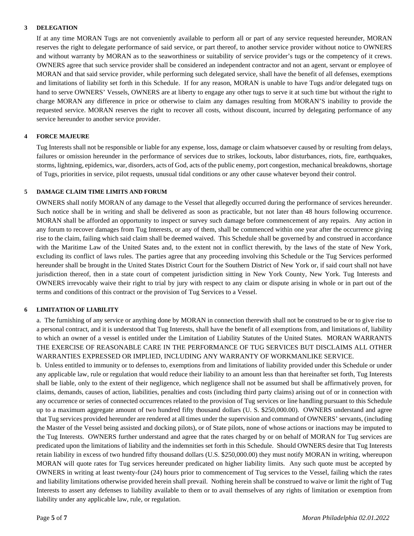#### **3 DELEGATION**

If at any time MORAN Tugs are not conveniently available to perform all or part of any service requested hereunder, MORAN reserves the right to delegate performance of said service, or part thereof, to another service provider without notice to OWNERS and without warranty by MORAN as to the seaworthiness or suitability of service provider's tugs or the competency of it crews. OWNERS agree that such service provider shall be considered an independent contractor and not an agent, servant or employee of MORAN and that said service provider, while performing such delegated service, shall have the benefit of all defenses, exemptions and limitations of liability set forth in this Schedule. If for any reason, MORAN is unable to have Tugs and/or delegated tugs on hand to serve OWNERS' Vessels, OWNERS are at liberty to engage any other tugs to serve it at such time but without the right to charge MORAN any difference in price or otherwise to claim any damages resulting from MORAN'S inability to provide the requested service. MORAN reserves the right to recover all costs, without discount, incurred by delegating performance of any service hereunder to another service provider.

## **4 FORCE MAJEURE**

Tug Interests shall not be responsible or liable for any expense, loss, damage or claim whatsoever caused by or resulting from delays, failures or omission hereunder in the performance of services due to strikes, lockouts, labor disturbances, riots, fire, earthquakes, storms, lightning, epidemics, war, disorders, acts of God, acts of the public enemy, port congestion, mechanical breakdowns, shortage of Tugs, priorities in service, pilot requests, unusual tidal conditions or any other cause whatever beyond their control.

#### **5 DAMAGE CLAIM TIME LIMITS AND FORUM**

OWNERS shall notify MORAN of any damage to the Vessel that allegedly occurred during the performance of services hereunder. Such notice shall be in writing and shall be delivered as soon as practicable, but not later than 48 hours following occurrence. MORAN shall be afforded an opportunity to inspect or survey such damage before commencement of any repairs. Any action in any forum to recover damages from Tug Interests, or any of them, shall be commenced within one year after the occurrence giving rise to the claim, failing which said claim shall be deemed waived. This Schedule shall be governed by and construed in accordance with the Maritime Law of the United States and, to the extent not in conflict therewith, by the laws of the state of New York, excluding its conflict of laws rules. The parties agree that any proceeding involving this Schedule or the Tug Services performed hereunder shall be brought in the United States District Court for the Southern District of New York or, if said court shall not have jurisdiction thereof, then in a state court of competent jurisdiction sitting in New York County, New York. Tug Interests and OWNERS irrevocably waive their right to trial by jury with respect to any claim or dispute arising in whole or in part out of the terms and conditions of this contract or the provision of Tug Services to a Vessel.

## **6 LIMITATION OF LIABILITY**

a. The furnishing of any service or anything done by MORAN in connection therewith shall not be construed to be or to give rise to a personal contract, and it is understood that Tug Interests, shall have the benefit of all exemptions from, and limitations of, liability to which an owner of a vessel is entitled under the Limitation of Liability Statutes of the United States. MORAN WARRANTS THE EXERCISE OF REASONABLE CARE IN THE PERFORMANCE OF TUG SERVICES BUT DISCLAIMS ALL OTHER WARRANTIES EXPRESSED OR IMPLIED, INCLUDING ANY WARRANTY OF WORKMANLIKE SERVICE.

b. Unless entitled to immunity or to defenses to, exemptions from and limitations of liability provided under this Schedule or under any applicable law, rule or regulation that would reduce their liability to an amount less than that hereinafter set forth, Tug Interests shall be liable, only to the extent of their negligence, which negligence shall not be assumed but shall be affirmatively proven, for claims, demands, causes of action, liabilities, penalties and costs (including third party claims) arising out of or in connection with any occurrence or series of connected occurrences related to the provision of Tug services or line handling pursuant to this Schedule up to a maximum aggregate amount of two hundred fifty thousand dollars (U. S. \$250,000.00). OWNERS understand and agree that Tug services provided hereunder are rendered at all times under the supervision and command of OWNERS' servants, (including the Master of the Vessel being assisted and docking pilots), or of State pilots, none of whose actions or inactions may be imputed to the Tug Interests. OWNERS further understand and agree that the rates charged by or on behalf of MORAN for Tug services are predicated upon the limitations of liability and the indemnities set forth in this Schedule. Should OWNERS desire that Tug Interests retain liability in excess of two hundred fifty thousand dollars (U.S. \$250,000.00) they must notify MORAN in writing, whereupon MORAN will quote rates for Tug services hereunder predicated on higher liability limits. Any such quote must be accepted by OWNERS in writing at least twenty-four (24) hours prior to commencement of Tug services to the Vessel, failing which the rates and liability limitations otherwise provided herein shall prevail. Nothing herein shall be construed to waive or limit the right of Tug Interests to assert any defenses to liability available to them or to avail themselves of any rights of limitation or exemption from liability under any applicable law, rule, or regulation.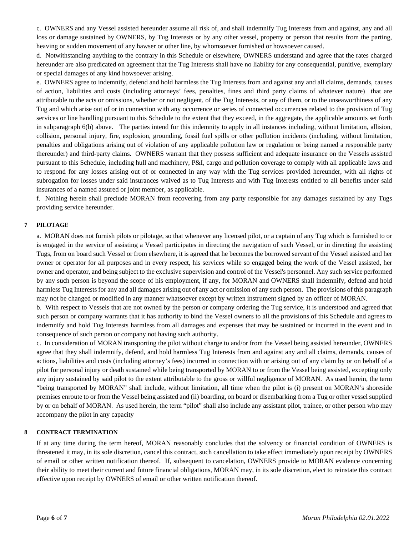c. OWNERS and any Vessel assisted hereunder assume all risk of, and shall indemnify Tug Interests from and against, any and all loss or damage sustained by OWNERS, by Tug Interests or by any other vessel, property or person that results from the parting, heaving or sudden movement of any hawser or other line, by whomsoever furnished or howsoever caused.

d. Notwithstanding anything to the contrary in this Schedule or elsewhere, OWNERS understand and agree that the rates charged hereunder are also predicated on agreement that the Tug Interests shall have no liability for any consequential, punitive, exemplary or special damages of any kind howsoever arising.

e. OWNERS agree to indemnify, defend and hold harmless the Tug Interests from and against any and all claims, demands, causes of action, liabilities and costs (including attorneys' fees, penalties, fines and third party claims of whatever nature) that are attributable to the acts or omissions, whether or not negligent, of the Tug Interests, or any of them, or to the unseaworthiness of any Tug and which arise out of or in connection with any occurrence or series of connected occurrences related to the provision of Tug services or line handling pursuant to this Schedule to the extent that they exceed, in the aggregate, the applicable amounts set forth in subparagraph 6(b) above. The parties intend for this indemnity to apply in all instances including, without limitation, allision, collision, personal injury, fire, explosion, grounding, fossil fuel spills or other pollution incidents (including, without limitation, penalties and obligations arising out of violation of any applicable pollution law or regulation or being named a responsible party thereunder) and third-party claims. OWNERS warrant that they possess sufficient and adequate insurance on the Vessels assisted pursuant to this Schedule, including hull and machinery, P&I, cargo and pollution coverage to comply with all applicable laws and to respond for any losses arising out of or connected in any way with the Tug services provided hereunder, with all rights of subrogation for losses under said insurances waived as to Tug Interests and with Tug Interests entitled to all benefits under said insurances of a named assured or joint member, as applicable.

f. Nothing herein shall preclude MORAN from recovering from any party responsible for any damages sustained by any Tugs providing service hereunder.

## **7 PILOTAGE**

a. MORAN does not furnish pilots or pilotage, so that whenever any licensed pilot, or a captain of any Tug which is furnished to or is engaged in the service of assisting a Vessel participates in directing the navigation of such Vessel, or in directing the assisting Tugs, from on board such Vessel or from elsewhere, it is agreed that he becomes the borrowed servant of the Vessel assisted and her owner or operator for all purposes and in every respect, his services while so engaged being the work of the Vessel assisted, her owner and operator, and being subject to the exclusive supervision and control of the Vessel's personnel. Any such service performed by any such person is beyond the scope of his employment, if any, for MORAN and OWNERS shall indemnify, defend and hold harmless Tug Interests for any and all damages arising out of any act or omission of any such person. The provisions of this paragraph may not be changed or modified in any manner whatsoever except by written instrument signed by an officer of MORAN.

b. With respect to Vessels that are not owned by the person or company ordering the Tug service, it is understood and agreed that such person or company warrants that it has authority to bind the Vessel owners to all the provisions of this Schedule and agrees to indemnify and hold Tug Interests harmless from all damages and expenses that may be sustained or incurred in the event and in consequence of such person or company not having such authority.

c. In consideration of MORAN transporting the pilot without charge to and/or from the Vessel being assisted hereunder, OWNERS agree that they shall indemnify, defend, and hold harmless Tug Interests from and against any and all claims, demands, causes of actions, liabilities and costs (including attorney's fees) incurred in connection with or arising out of any claim by or on behalf of a pilot for personal injury or death sustained while being transported by MORAN to or from the Vessel being assisted, excepting only any injury sustained by said pilot to the extent attributable to the gross or willful negligence of MORAN. As used herein, the term "being transported by MORAN" shall include, without limitation, all time when the pilot is (i) present on MORAN's shoreside premises enroute to or from the Vessel being assisted and (ii) boarding, on board or disembarking from a Tug or other vessel supplied by or on behalf of MORAN. As used herein, the term "pilot" shall also include any assistant pilot, trainee, or other person who may accompany the pilot in any capacity

#### **8 CONTRACT TERMINATION**

If at any time during the term hereof, MORAN reasonably concludes that the solvency or financial condition of OWNERS is threatened it may, in its sole discretion, cancel this contract, such cancellation to take effect immediately upon receipt by OWNERS of email or other written notification thereof. If, subsequent to cancelation, OWNERS provide to MORAN evidence concerning their ability to meet their current and future financial obligations, MORAN may, in its sole discretion, elect to reinstate this contract effective upon receipt by OWNERS of email or other written notification thereof.